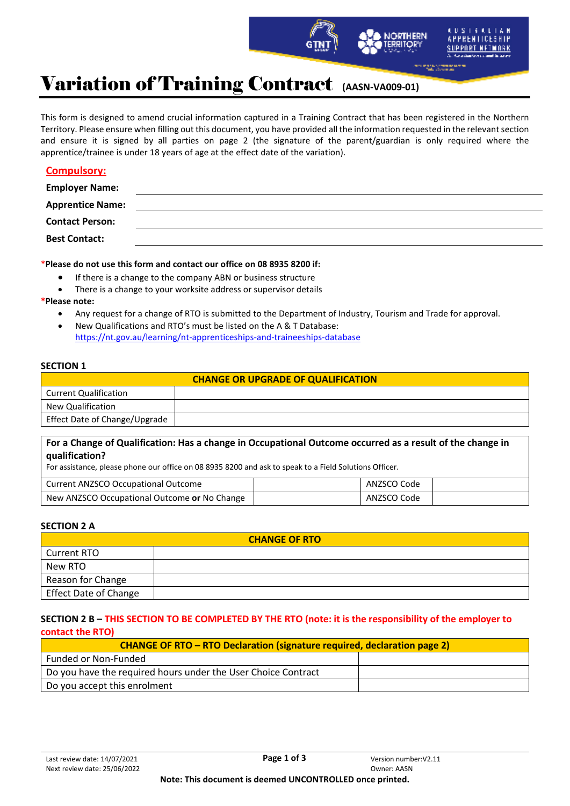

**The State of Contractor** 

# Variation of Training Contract **(AASN-VA009-01)**

This form is designed to amend crucial information captured in a Training Contract that has been registered in the Northern Territory. Please ensure when filling out this document, you have provided all the information requested in the relevant section and ensure it is signed by all parties on page 2 (the signature of the parent/guardian is only required where the apprentice/trainee is under 18 years of age at the effect date of the variation).

| <b>Compulsory:</b>      |  |
|-------------------------|--|
| <b>Employer Name:</b>   |  |
| <b>Apprentice Name:</b> |  |
| <b>Contact Person:</b>  |  |
| <b>Best Contact:</b>    |  |

#### \***Please do not use this form and contact our office on 08 8935 8200 if:**

- If there is a change to the company ABN or business structure
- There is a change to your worksite address or supervisor details

#### **\*Please note:**

- Any request for a change of RTO is submitted to the Department of Industry, Tourism and Trade for approval.
- New Qualifications and RTO's must be listed on the A & T Database: https://nt.gov.au/learning/nt-apprenticeships-and-traineeships-database

#### **SECTION 1**

| <b>CHANGE OR UPGRADE OF QUALIFICATION</b> |  |  |
|-------------------------------------------|--|--|
| <b>Current Qualification</b>              |  |  |
| New Qualification                         |  |  |
| Effect Date of Change/Upgrade             |  |  |

**For a Change of Qualification: Has a change in Occupational Outcome occurred as a result of the change in qualification?** 

For assistance, please phone our office on 08 8935 8200 and ask to speak to a Field Solutions Officer.

| Current ANZSCO Occupational Outcome          | ANZSCO Code |  |
|----------------------------------------------|-------------|--|
| New ANZSCO Occupational Outcome or No Change | ANZSCO Code |  |

### **SECTION 2 A**

| <b>CHANGE OF RTO</b>         |  |  |
|------------------------------|--|--|
| <b>Current RTO</b>           |  |  |
| New RTO                      |  |  |
| Reason for Change            |  |  |
| <b>Effect Date of Change</b> |  |  |

### **SECTION 2 B – THIS SECTION TO BE COMPLETED BY THE RTO (note: it is the responsibility of the employer to contact the RTO)**

| <b>CHANGE OF RTO - RTO Declaration (signature required, declaration page 2)</b> |  |  |  |
|---------------------------------------------------------------------------------|--|--|--|
| Funded or Non-Funded                                                            |  |  |  |
| Do you have the required hours under the User Choice Contract                   |  |  |  |
| Do you accept this enrolment                                                    |  |  |  |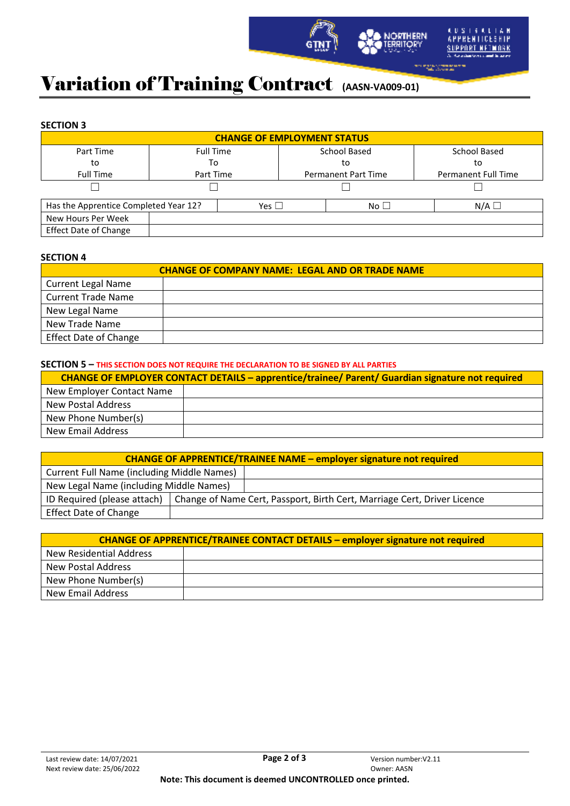

in de la propieta de la malada de la propieta.<br>Tanto de la propieta del propieta del contenente del contenente del contenente del contenente del contenente d

Z M

# Variation of Training Contract **(AASN-VA009-01)**

## **SECTION 3**

| <b>CHANGE OF EMPLOYMENT STATUS</b>    |                  |               |                     |                            |                            |
|---------------------------------------|------------------|---------------|---------------------|----------------------------|----------------------------|
| Part Time                             | <b>Full Time</b> |               | <b>School Based</b> |                            | <b>School Based</b>        |
| to                                    | To               |               | to                  |                            | to                         |
| <b>Full Time</b>                      | Part Time        |               |                     | <b>Permanent Part Time</b> | <b>Permanent Full Time</b> |
|                                       |                  |               |                     |                            |                            |
| Has the Apprentice Completed Year 12? |                  | Yes $\square$ |                     | No <sub>1</sub>            | $N/A$ $\square$            |
| New Hours Per Week                    |                  |               |                     |                            |                            |
| <b>Effect Date of Change</b>          |                  |               |                     |                            |                            |

### **SECTION 4**

| <b>CHANGE OF COMPANY NAME: LEGAL AND OR TRADE NAME</b> |  |  |
|--------------------------------------------------------|--|--|
| Current Legal Name                                     |  |  |
| <b>Current Trade Name</b>                              |  |  |
| New Legal Name                                         |  |  |
| New Trade Name                                         |  |  |
| <b>Effect Date of Change</b>                           |  |  |

### **SECTION 5 – THIS SECTION DOES NOT REQUIRE THE DECLARATION TO BE SIGNED BY ALL PARTIES**

|                           | <b>CHANGE OF EMPLOYER CONTACT DETAILS - apprentice/trainee/ Parent/ Guardian signature not required</b> |  |  |  |
|---------------------------|---------------------------------------------------------------------------------------------------------|--|--|--|
| New Employer Contact Name |                                                                                                         |  |  |  |
| New Postal Address        |                                                                                                         |  |  |  |
| New Phone Number(s)       |                                                                                                         |  |  |  |
| <b>New Email Address</b>  |                                                                                                         |  |  |  |

|                                                   | <b>CHANGE OF APPRENTICE/TRAINEE NAME - employer signature not required</b> |                                                                          |  |  |
|---------------------------------------------------|----------------------------------------------------------------------------|--------------------------------------------------------------------------|--|--|
| <b>Current Full Name (including Middle Names)</b> |                                                                            |                                                                          |  |  |
| New Legal Name (including Middle Names)           |                                                                            |                                                                          |  |  |
| ID Required (please attach)                       |                                                                            | Change of Name Cert, Passport, Birth Cert, Marriage Cert, Driver Licence |  |  |
| <b>Effect Date of Change</b>                      |                                                                            |                                                                          |  |  |

|                         | <b>CHANGE OF APPRENTICE/TRAINEE CONTACT DETAILS - employer signature not required</b> |  |  |
|-------------------------|---------------------------------------------------------------------------------------|--|--|
| New Residential Address |                                                                                       |  |  |
| New Postal Address      |                                                                                       |  |  |
| New Phone Number(s)     |                                                                                       |  |  |
| New Email Address       |                                                                                       |  |  |